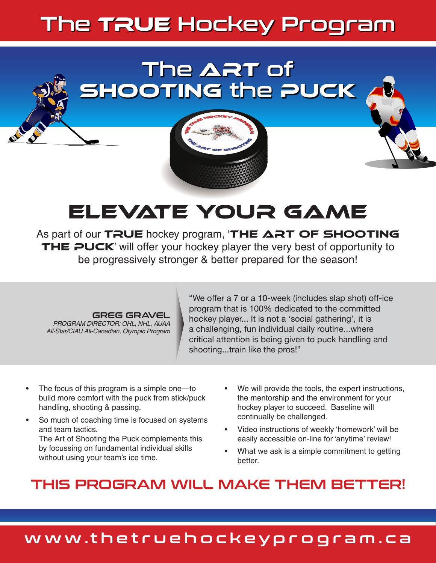# The TRUE Hockey Program

## True Hockey Program The **ART** of Shooting the Puck True Hockey Program

True Hockey Program

The Hockey Program

The

The

The Art of Shooting

THE ART OF SHOOTING

The ART OF SHOOTING

The ART OF SHOOTING

# ELEVATE YOUR GAME

As part of our TRUE hockey program, 'THE ART OF SHOOTING THE PUCK' will offer your hockey player the very best of opportunity to be progressively stronger & better prepared for the season!

#### GREG GRAVEL

*PROGRAM DIRECTOR: OHL, NHL, AUAA All-Star/CIAU All-Canadian, Olympic Program*

"We offer a 7 or a 10-week (includes slap shot) off-ice program that is 100% dedicated to the committed hockey player... It is not a 'social gathering', it is a challenging, fun individual daily routine...where a challenging, fun individual daily routine...where<br>critical attention is being given to puck handling and shooting...train like the pros!"

- The focus of this program is a simple one—to build more comfort with the puck from stick/puck handling, shooting & passing.
- So much of coaching time is focused on systems and team tactics. The Art of Shooting the Puck complements this by focussing on fundamental individual skills without using your team's ice time.
- We will provide the tools, the expert instructions, the mentorship and the environment for your hockey player to succeed. Baseline will continually be challenged.
- Video instructions of weekly 'homework' will be easily accessible on-line for 'anytime' review!
- What we ask is a simple commitment to getting better.

### THIS PROGRAM WILL MAKE THEM BETTER!

### www.thetruehockeyprogram.ca